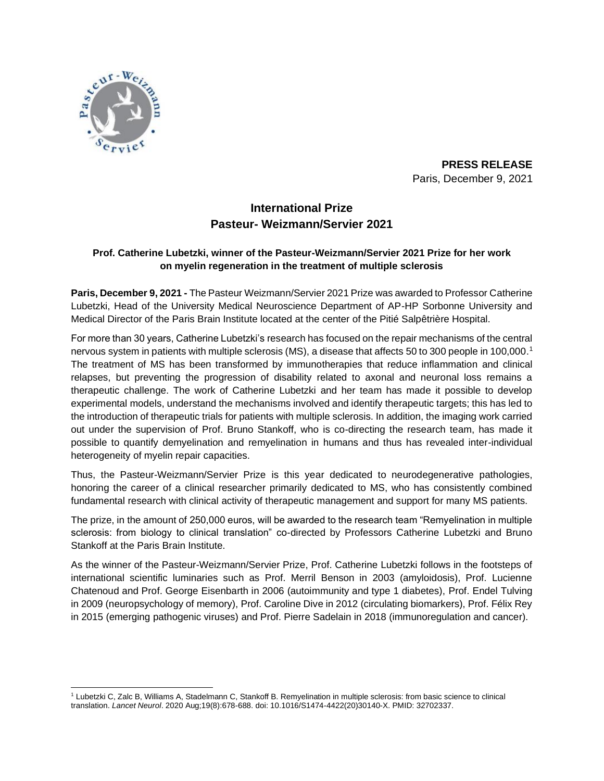

**PRESS RELEASE** Paris, December 9, 2021

# **International Prize Pasteur- Weizmann/Servier 2021**

## **Prof. Catherine Lubetzki, winner of the Pasteur-Weizmann/Servier 2021 Prize for her work on myelin regeneration in the treatment of multiple sclerosis**

**Paris, December 9, 2021 -** The Pasteur Weizmann/Servier 2021 Prize was awarded to Professor Catherine Lubetzki, Head of the University Medical Neuroscience Department of AP-HP Sorbonne University and Medical Director of the Paris Brain Institute located at the center of the Pitié Salpêtrière Hospital.

For more than 30 years, Catherine Lubetzki's research has focused on the repair mechanisms of the central nervous system in patients with multiple sclerosis (MS), a disease that affects 50 to 300 people in 100,000. 1 The treatment of MS has been transformed by immunotherapies that reduce inflammation and clinical relapses, but preventing the progression of disability related to axonal and neuronal loss remains a therapeutic challenge. The work of Catherine Lubetzki and her team has made it possible to develop experimental models, understand the mechanisms involved and identify therapeutic targets; this has led to the introduction of therapeutic trials for patients with multiple sclerosis. In addition, the imaging work carried out under the supervision of Prof. Bruno Stankoff, who is co-directing the research team, has made it possible to quantify demyelination and remyelination in humans and thus has revealed inter-individual heterogeneity of myelin repair capacities.

Thus, the Pasteur-Weizmann/Servier Prize is this year dedicated to neurodegenerative pathologies, honoring the career of a clinical researcher primarily dedicated to MS, who has consistently combined fundamental research with clinical activity of therapeutic management and support for many MS patients.

The prize, in the amount of 250,000 euros, will be awarded to the research team "Remyelination in multiple sclerosis: from biology to clinical translation" co-directed by Professors Catherine Lubetzki and Bruno Stankoff at the Paris Brain Institute.

As the winner of the Pasteur-Weizmann/Servier Prize, Prof. Catherine Lubetzki follows in the footsteps of international scientific luminaries such as Prof. Merril Benson in 2003 (amyloidosis), Prof. Lucienne Chatenoud and Prof. George Eisenbarth in 2006 (autoimmunity and type 1 diabetes), Prof. Endel Tulving in 2009 (neuropsychology of memory), Prof. Caroline Dive in 2012 (circulating biomarkers), Prof. Félix Rey in 2015 (emerging pathogenic viruses) and Prof. Pierre Sadelain in 2018 (immunoregulation and cancer).

<sup>1</sup> Lubetzki C, Zalc B, Williams A, Stadelmann C, Stankoff B. Remyelination in multiple sclerosis: from basic science to clinical translation. *Lancet Neurol*. 2020 Aug;19(8):678-688. doi: 10.1016/S1474-4422(20)30140-X. PMID: 32702337.